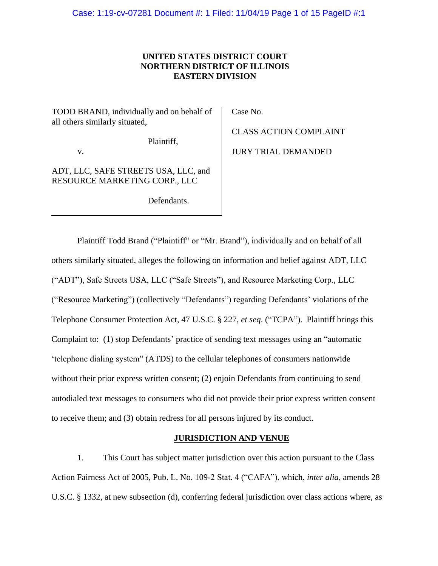# **UNITED STATES DISTRICT COURT NORTHERN DISTRICT OF ILLINOIS EASTERN DIVISION**

TODD BRAND, individually and on behalf of all others similarly situated,

Plaintiff,

v.

ADT, LLC, SAFE STREETS USA, LLC, and RESOURCE MARKETING CORP., LLC

Defendants.

Case No.

CLASS ACTION COMPLAINT JURY TRIAL DEMANDED

Plaintiff Todd Brand ("Plaintiff" or "Mr. Brand"), individually and on behalf of all others similarly situated, alleges the following on information and belief against ADT, LLC ("ADT"), Safe Streets USA, LLC ("Safe Streets"), and Resource Marketing Corp., LLC ("Resource Marketing") (collectively "Defendants") regarding Defendants' violations of the Telephone Consumer Protection Act, 47 U.S.C. § 227, *et seq*. ("TCPA"). Plaintiff brings this Complaint to: (1) stop Defendants' practice of sending text messages using an "automatic 'telephone dialing system" (ATDS) to the cellular telephones of consumers nationwide without their prior express written consent; (2) enjoin Defendants from continuing to send autodialed text messages to consumers who did not provide their prior express written consent to receive them; and (3) obtain redress for all persons injured by its conduct.

## **JURISDICTION AND VENUE**

1. This Court has subject matter jurisdiction over this action pursuant to the Class Action Fairness Act of 2005, Pub. L. No. 109-2 Stat. 4 ("CAFA"), which, *inter alia*, amends 28 U.S.C. § 1332, at new subsection (d), conferring federal jurisdiction over class actions where, as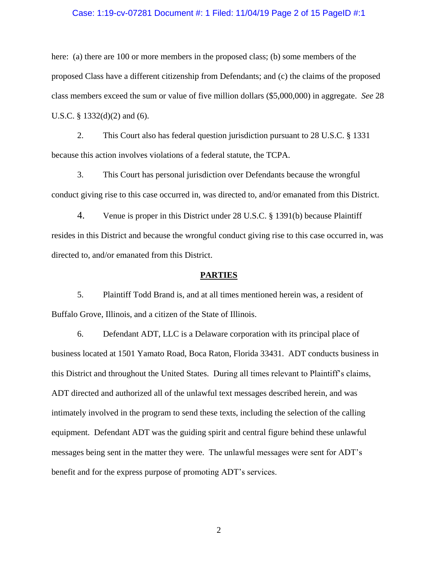### Case: 1:19-cv-07281 Document #: 1 Filed: 11/04/19 Page 2 of 15 PageID #:1

here: (a) there are 100 or more members in the proposed class; (b) some members of the proposed Class have a different citizenship from Defendants; and (c) the claims of the proposed class members exceed the sum or value of five million dollars (\$5,000,000) in aggregate. *See* 28 U.S.C. § 1332(d)(2) and (6).

2. This Court also has federal question jurisdiction pursuant to 28 U.S.C. § 1331 because this action involves violations of a federal statute, the TCPA.

3. This Court has personal jurisdiction over Defendants because the wrongful conduct giving rise to this case occurred in, was directed to, and/or emanated from this District.

4. Venue is proper in this District under 28 U.S.C. § 1391(b) because Plaintiff resides in this District and because the wrongful conduct giving rise to this case occurred in, was directed to, and/or emanated from this District.

#### **PARTIES**

5. Plaintiff Todd Brand is, and at all times mentioned herein was, a resident of Buffalo Grove, Illinois, and a citizen of the State of Illinois.

6. Defendant ADT, LLC is a Delaware corporation with its principal place of business located at 1501 Yamato Road, Boca Raton, Florida 33431. ADT conducts business in this District and throughout the United States. During all times relevant to Plaintiff's claims, ADT directed and authorized all of the unlawful text messages described herein, and was intimately involved in the program to send these texts, including the selection of the calling equipment. Defendant ADT was the guiding spirit and central figure behind these unlawful messages being sent in the matter they were. The unlawful messages were sent for ADT's benefit and for the express purpose of promoting ADT's services.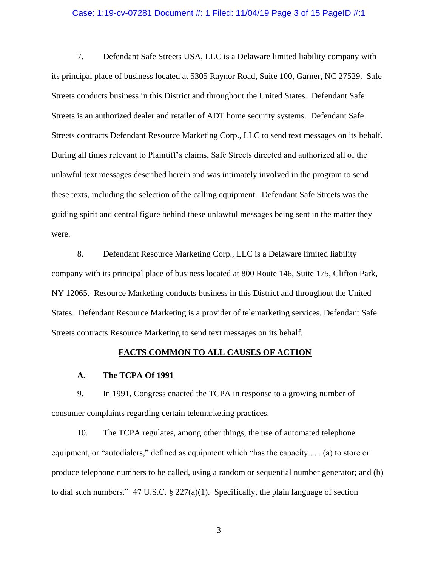### Case: 1:19-cv-07281 Document #: 1 Filed: 11/04/19 Page 3 of 15 PageID #:1

7. Defendant Safe Streets USA, LLC is a Delaware limited liability company with its principal place of business located at 5305 Raynor Road, Suite 100, Garner, NC 27529. Safe Streets conducts business in this District and throughout the United States. Defendant Safe Streets is an authorized dealer and retailer of ADT home security systems. Defendant Safe Streets contracts Defendant Resource Marketing Corp., LLC to send text messages on its behalf. During all times relevant to Plaintiff's claims, Safe Streets directed and authorized all of the unlawful text messages described herein and was intimately involved in the program to send these texts, including the selection of the calling equipment. Defendant Safe Streets was the guiding spirit and central figure behind these unlawful messages being sent in the matter they were.

8. Defendant Resource Marketing Corp., LLC is a Delaware limited liability company with its principal place of business located at 800 Route 146, Suite 175, Clifton Park, NY 12065. Resource Marketing conducts business in this District and throughout the United States. Defendant Resource Marketing is a provider of telemarketing services. Defendant Safe Streets contracts Resource Marketing to send text messages on its behalf.

## **FACTS COMMON TO ALL CAUSES OF ACTION**

#### **A. The TCPA Of 1991**

9. In 1991, Congress enacted the TCPA in response to a growing number of consumer complaints regarding certain telemarketing practices.

10. The TCPA regulates, among other things, the use of automated telephone equipment, or "autodialers," defined as equipment which "has the capacity . . . (a) to store or produce telephone numbers to be called, using a random or sequential number generator; and (b) to dial such numbers." 47 U.S.C. § 227(a)(1). Specifically, the plain language of section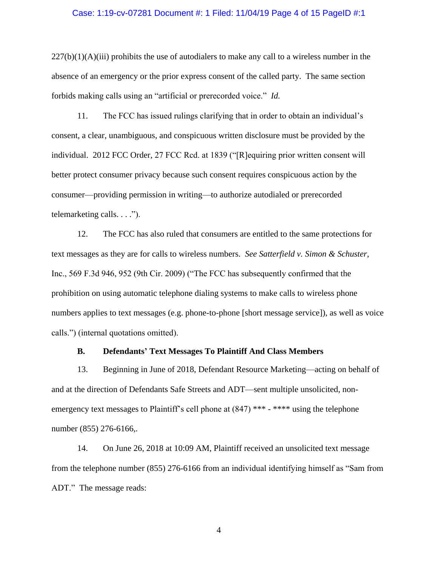### Case: 1:19-cv-07281 Document #: 1 Filed: 11/04/19 Page 4 of 15 PageID #:1

 $227(b)(1)(A)(iii)$  prohibits the use of autodialers to make any call to a wireless number in the absence of an emergency or the prior express consent of the called party. The same section forbids making calls using an "artificial or prerecorded voice." *Id.*

11. The FCC has issued rulings clarifying that in order to obtain an individual's consent, a clear, unambiguous, and conspicuous written disclosure must be provided by the individual. 2012 FCC Order, 27 FCC Rcd. at 1839 ("[R]equiring prior written consent will better protect consumer privacy because such consent requires conspicuous action by the consumer—providing permission in writing—to authorize autodialed or prerecorded telemarketing calls. . . .").

12. The FCC has also ruled that consumers are entitled to the same protections for text messages as they are for calls to wireless numbers. *See Satterfield v. Simon & Schuster*, Inc., 569 F.3d 946, 952 (9th Cir. 2009) ("The FCC has subsequently confirmed that the prohibition on using automatic telephone dialing systems to make calls to wireless phone numbers applies to text messages (e.g. phone-to-phone [short message service]), as well as voice calls.") (internal quotations omitted).

### **B. Defendants' Text Messages To Plaintiff And Class Members**

13. Beginning in June of 2018, Defendant Resource Marketing—acting on behalf of and at the direction of Defendants Safe Streets and ADT—sent multiple unsolicited, nonemergency text messages to Plaintiff's cell phone at  $(847)$  \*\*\* - \*\*\*\* using the telephone number (855) 276-6166,.

14. On June 26, 2018 at 10:09 AM, Plaintiff received an unsolicited text message from the telephone number (855) 276-6166 from an individual identifying himself as "Sam from ADT." The message reads: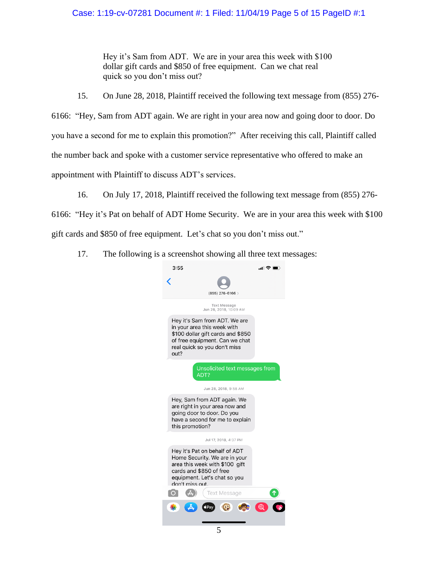# Case: 1:19-cv-07281 Document #: 1 Filed: 11/04/19 Page 5 of 15 PageID #:1

Hey it's Sam from ADT. We are in your area this week with \$100 dollar gift cards and \$850 of free equipment. Can we chat real quick so you don't miss out?

15. On June 28, 2018, Plaintiff received the following text message from (855) 276-

6166: "Hey, Sam from ADT again. We are right in your area now and going door to door. Do you have a second for me to explain this promotion?" After receiving this call, Plaintiff called the number back and spoke with a customer service representative who offered to make an appointment with Plaintiff to discuss ADT's services.

16. On July 17, 2018, Plaintiff received the following text message from (855) 276-

6166: "Hey it's Pat on behalf of ADT Home Security. We are in your area this week with \$100 gift cards and \$850 of free equipment. Let's chat so you don't miss out."

17. The following is a screenshot showing all three text messages:

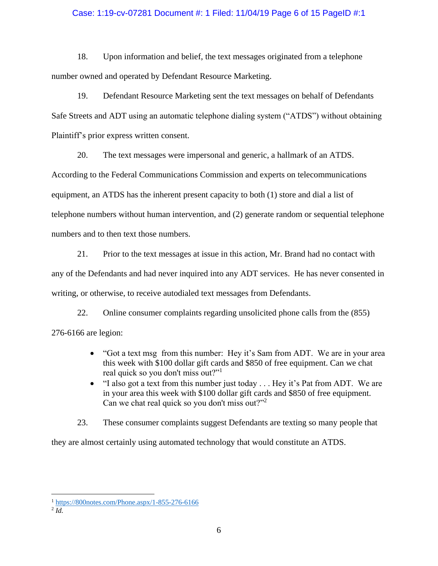### Case: 1:19-cv-07281 Document #: 1 Filed: 11/04/19 Page 6 of 15 PageID #:1

18. Upon information and belief, the text messages originated from a telephone number owned and operated by Defendant Resource Marketing.

19. Defendant Resource Marketing sent the text messages on behalf of Defendants Safe Streets and ADT using an automatic telephone dialing system ("ATDS") without obtaining Plaintiff's prior express written consent.

20. The text messages were impersonal and generic, a hallmark of an ATDS.

According to the Federal Communications Commission and experts on telecommunications equipment, an ATDS has the inherent present capacity to both (1) store and dial a list of telephone numbers without human intervention, and (2) generate random or sequential telephone numbers and to then text those numbers.

21. Prior to the text messages at issue in this action, Mr. Brand had no contact with any of the Defendants and had never inquired into any ADT services. He has never consented in writing, or otherwise, to receive autodialed text messages from Defendants.

22. Online consumer complaints regarding unsolicited phone calls from the (855) 276-6166 are legion:

- "Got a text msg from this number: Hey it's Sam from ADT. We are in your area this week with \$100 dollar gift cards and \$850 of free equipment. Can we chat real quick so you don't miss out?"<sup>1</sup>
- "I also got a text from this number just today . . . Hey it's Pat from ADT. We are in your area this week with \$100 dollar gift cards and \$850 of free equipment. Can we chat real quick so you don't miss out?"<sup>2</sup>
- 23. These consumer complaints suggest Defendants are texting so many people that

they are almost certainly using automated technology that would constitute an ATDS.

 $\overline{a}$ 

<sup>1</sup> https://800notes.com/Phone.aspx/1-855-276-6166

<sup>2</sup> *Id.*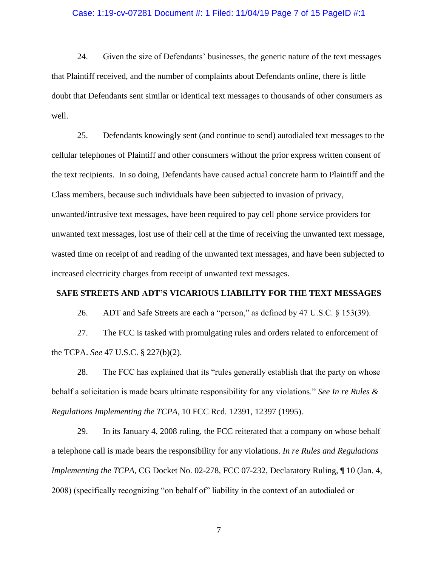#### Case: 1:19-cv-07281 Document #: 1 Filed: 11/04/19 Page 7 of 15 PageID #:1

24. Given the size of Defendants' businesses, the generic nature of the text messages that Plaintiff received, and the number of complaints about Defendants online, there is little doubt that Defendants sent similar or identical text messages to thousands of other consumers as well.

25. Defendants knowingly sent (and continue to send) autodialed text messages to the cellular telephones of Plaintiff and other consumers without the prior express written consent of the text recipients. In so doing, Defendants have caused actual concrete harm to Plaintiff and the Class members, because such individuals have been subjected to invasion of privacy, unwanted/intrusive text messages, have been required to pay cell phone service providers for unwanted text messages, lost use of their cell at the time of receiving the unwanted text message, wasted time on receipt of and reading of the unwanted text messages, and have been subjected to increased electricity charges from receipt of unwanted text messages.

### **SAFE STREETS AND ADT'S VICARIOUS LIABILITY FOR THE TEXT MESSAGES**

26. ADT and Safe Streets are each a "person," as defined by 47 U.S.C. § 153(39).

27. The FCC is tasked with promulgating rules and orders related to enforcement of the TCPA. *See* 47 U.S.C. § 227(b)(2).

28. The FCC has explained that its "rules generally establish that the party on whose behalf a solicitation is made bears ultimate responsibility for any violations." *See In re Rules & Regulations Implementing the TCPA*, 10 FCC Rcd. 12391, 12397 (1995).

29. In its January 4, 2008 ruling, the FCC reiterated that a company on whose behalf a telephone call is made bears the responsibility for any violations. *In re Rules and Regulations Implementing the TCPA*, CG Docket No. 02-278, FCC 07-232, Declaratory Ruling, 10 (Jan. 4, 2008) (specifically recognizing "on behalf of" liability in the context of an autodialed or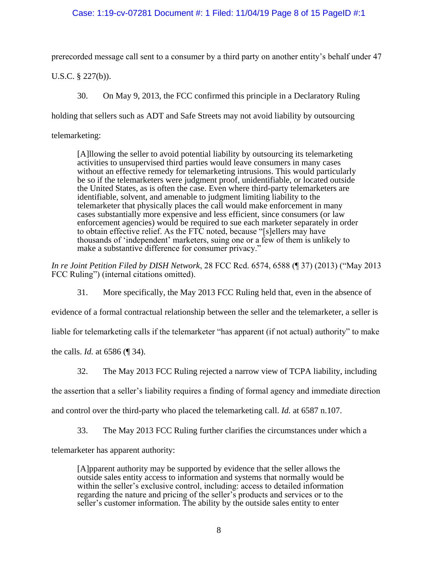## Case: 1:19-cv-07281 Document #: 1 Filed: 11/04/19 Page 8 of 15 PageID #:1

prerecorded message call sent to a consumer by a third party on another entity's behalf under 47

U.S.C. § 227(b)).

30. On May 9, 2013, the FCC confirmed this principle in a Declaratory Ruling

holding that sellers such as ADT and Safe Streets may not avoid liability by outsourcing

telemarketing:

[A]llowing the seller to avoid potential liability by outsourcing its telemarketing activities to unsupervised third parties would leave consumers in many cases without an effective remedy for telemarketing intrusions. This would particularly be so if the telemarketers were judgment proof, unidentifiable, or located outside the United States, as is often the case. Even where third-party telemarketers are identifiable, solvent, and amenable to judgment limiting liability to the telemarketer that physically places the call would make enforcement in many cases substantially more expensive and less efficient, since consumers (or law enforcement agencies) would be required to sue each marketer separately in order to obtain effective relief. As the FTC noted, because "[s]ellers may have thousands of 'independent' marketers, suing one or a few of them is unlikely to make a substantive difference for consumer privacy."

*In re Joint Petition Filed by DISH Network*, 28 FCC Rcd. 6574, 6588 (¶ 37) (2013) ("May 2013 FCC Ruling") (internal citations omitted).

31. More specifically, the May 2013 FCC Ruling held that, even in the absence of

evidence of a formal contractual relationship between the seller and the telemarketer, a seller is

liable for telemarketing calls if the telemarketer "has apparent (if not actual) authority" to make

the calls. *Id.* at 6586 (¶ 34).

32. The May 2013 FCC Ruling rejected a narrow view of TCPA liability, including

the assertion that a seller's liability requires a finding of formal agency and immediate direction

and control over the third-party who placed the telemarketing call. *Id.* at 6587 n.107.

33. The May 2013 FCC Ruling further clarifies the circumstances under which a

telemarketer has apparent authority:

[A]pparent authority may be supported by evidence that the seller allows the outside sales entity access to information and systems that normally would be within the seller's exclusive control, including: access to detailed information regarding the nature and pricing of the seller's products and services or to the seller's customer information. The ability by the outside sales entity to enter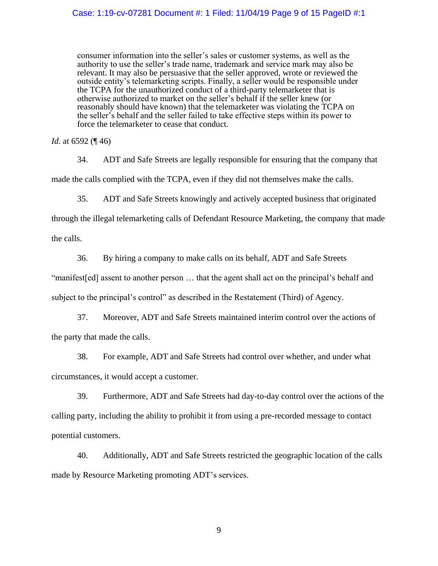consumer information into the seller's sales or customer systems, as well as the authority to use the seller's trade name, trademark and service mark may also be relevant. It may also be persuasive that the seller approved, wrote or reviewed the outside entity's telemarketing scripts. Finally, a seller would be responsible under the TCPA for the unauthorized conduct of a third-party telemarketer that is otherwise authorized to market on the seller's behalf if the seller knew (or reasonably should have known) that the telemarketer was violating the TCPA on the seller's behalf and the seller failed to take effective steps within its power to force the telemarketer to cease that conduct.

*Id.* at 6592 (¶ 46)

34. ADT and Safe Streets are legally responsible for ensuring that the company that made the calls complied with the TCPA, even if they did not themselves make the calls.

35. ADT and Safe Streets knowingly and actively accepted business that originated

through the illegal telemarketing calls of Defendant Resource Marketing, the company that made

the calls.

36. By hiring a company to make calls on its behalf, ADT and Safe Streets

"manifest[ed] assent to another person … that the agent shall act on the principal's behalf and subject to the principal's control" as described in the Restatement (Third) of Agency.

37. Moreover, ADT and Safe Streets maintained interim control over the actions of the party that made the calls.

38. For example, ADT and Safe Streets had control over whether, and under what circumstances, it would accept a customer.

39. Furthermore, ADT and Safe Streets had day-to-day control over the actions of the calling party, including the ability to prohibit it from using a pre-recorded message to contact potential customers.

40. Additionally, ADT and Safe Streets restricted the geographic location of the calls made by Resource Marketing promoting ADT's services.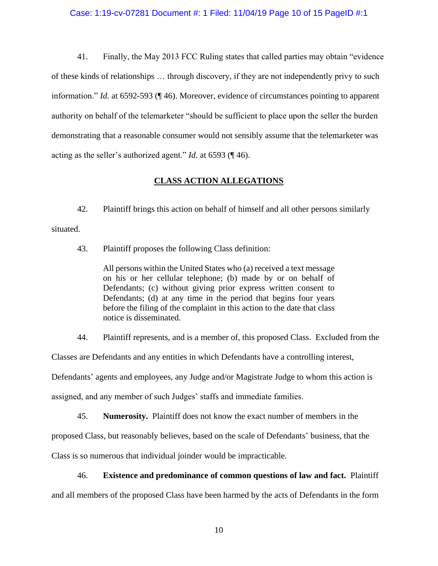41. Finally, the May 2013 FCC Ruling states that called parties may obtain "evidence of these kinds of relationships … through discovery, if they are not independently privy to such information." *Id.* at 6592-593 (¶ 46). Moreover, evidence of circumstances pointing to apparent authority on behalf of the telemarketer "should be sufficient to place upon the seller the burden demonstrating that a reasonable consumer would not sensibly assume that the telemarketer was acting as the seller's authorized agent." *Id.* at 6593 (¶ 46).

# **CLASS ACTION ALLEGATIONS**

42. Plaintiff brings this action on behalf of himself and all other persons similarly situated.

43. Plaintiff proposes the following Class definition:

All persons within the United States who (a) received a text message on his or her cellular telephone; (b) made by or on behalf of Defendants; (c) without giving prior express written consent to Defendants; (d) at any time in the period that begins four years before the filing of the complaint in this action to the date that class notice is disseminated.

44. Plaintiff represents, and is a member of, this proposed Class. Excluded from the

Classes are Defendants and any entities in which Defendants have a controlling interest,

Defendants' agents and employees, any Judge and/or Magistrate Judge to whom this action is

assigned, and any member of such Judges' staffs and immediate families.

45. **Numerosity.** Plaintiff does not know the exact number of members in the

proposed Class, but reasonably believes, based on the scale of Defendants' business, that the

Class is so numerous that individual joinder would be impracticable.

# 46. **Existence and predominance of common questions of law and fact.** Plaintiff

and all members of the proposed Class have been harmed by the acts of Defendants in the form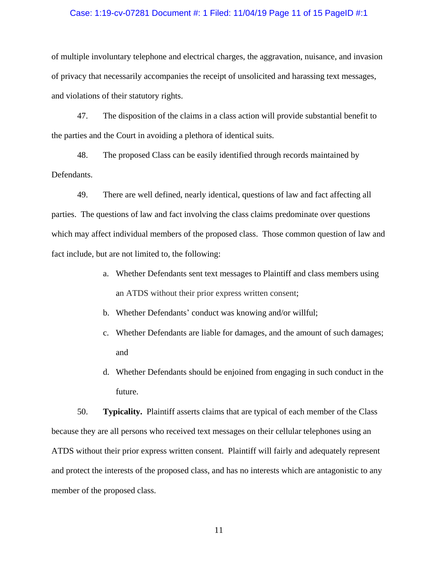## Case: 1:19-cv-07281 Document #: 1 Filed: 11/04/19 Page 11 of 15 PageID #:1

of multiple involuntary telephone and electrical charges, the aggravation, nuisance, and invasion of privacy that necessarily accompanies the receipt of unsolicited and harassing text messages, and violations of their statutory rights.

47. The disposition of the claims in a class action will provide substantial benefit to the parties and the Court in avoiding a plethora of identical suits.

48. The proposed Class can be easily identified through records maintained by Defendants.

49. There are well defined, nearly identical, questions of law and fact affecting all parties. The questions of law and fact involving the class claims predominate over questions which may affect individual members of the proposed class. Those common question of law and fact include, but are not limited to, the following:

- a. Whether Defendants sent text messages to Plaintiff and class members using an ATDS without their prior express written consent;
- b. Whether Defendants' conduct was knowing and/or willful;
- c. Whether Defendants are liable for damages, and the amount of such damages; and
- d. Whether Defendants should be enjoined from engaging in such conduct in the future.

50. **Typicality.** Plaintiff asserts claims that are typical of each member of the Class because they are all persons who received text messages on their cellular telephones using an ATDS without their prior express written consent. Plaintiff will fairly and adequately represent and protect the interests of the proposed class, and has no interests which are antagonistic to any member of the proposed class.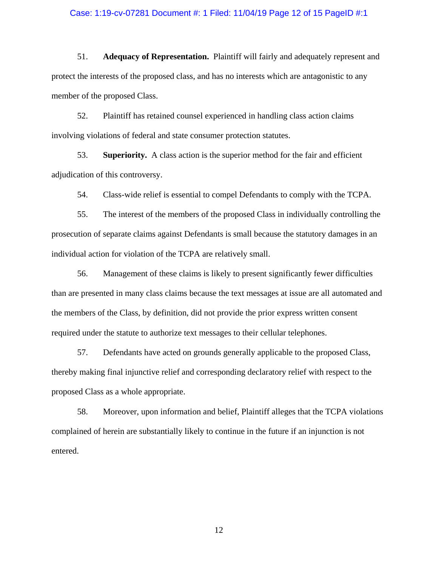#### Case: 1:19-cv-07281 Document #: 1 Filed: 11/04/19 Page 12 of 15 PageID #:1

51. **Adequacy of Representation.** Plaintiff will fairly and adequately represent and protect the interests of the proposed class, and has no interests which are antagonistic to any member of the proposed Class.

52. Plaintiff has retained counsel experienced in handling class action claims involving violations of federal and state consumer protection statutes.

53. **Superiority.** A class action is the superior method for the fair and efficient adjudication of this controversy.

54. Class-wide relief is essential to compel Defendants to comply with the TCPA.

55. The interest of the members of the proposed Class in individually controlling the prosecution of separate claims against Defendants is small because the statutory damages in an individual action for violation of the TCPA are relatively small.

56. Management of these claims is likely to present significantly fewer difficulties than are presented in many class claims because the text messages at issue are all automated and the members of the Class, by definition, did not provide the prior express written consent required under the statute to authorize text messages to their cellular telephones.

57. Defendants have acted on grounds generally applicable to the proposed Class, thereby making final injunctive relief and corresponding declaratory relief with respect to the proposed Class as a whole appropriate.

58. Moreover, upon information and belief, Plaintiff alleges that the TCPA violations complained of herein are substantially likely to continue in the future if an injunction is not entered.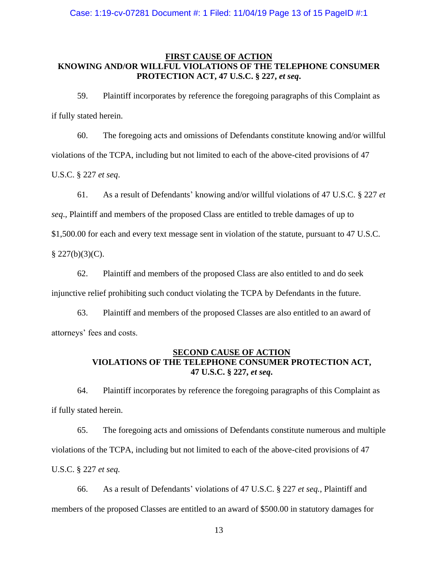## **FIRST CAUSE OF ACTION KNOWING AND/OR WILLFUL VIOLATIONS OF THE TELEPHONE CONSUMER PROTECTION ACT, 47 U.S.C. § 227,** *et seq***.**

59. Plaintiff incorporates by reference the foregoing paragraphs of this Complaint as if fully stated herein.

60. The foregoing acts and omissions of Defendants constitute knowing and/or willful violations of the TCPA, including but not limited to each of the above-cited provisions of 47 U.S.C. § 227 *et seq*.

61. As a result of Defendants' knowing and/or willful violations of 47 U.S.C. § 227 *et* 

*seq*., Plaintiff and members of the proposed Class are entitled to treble damages of up to

\$1,500.00 for each and every text message sent in violation of the statute, pursuant to 47 U.S.C.

§ 227(b)(3)(C).

62. Plaintiff and members of the proposed Class are also entitled to and do seek injunctive relief prohibiting such conduct violating the TCPA by Defendants in the future.

63. Plaintiff and members of the proposed Classes are also entitled to an award of attorneys' fees and costs.

# **SECOND CAUSE OF ACTION VIOLATIONS OF THE TELEPHONE CONSUMER PROTECTION ACT, 47 U.S.C. § 227,** *et seq***.**

64. Plaintiff incorporates by reference the foregoing paragraphs of this Complaint as if fully stated herein.

65. The foregoing acts and omissions of Defendants constitute numerous and multiple violations of the TCPA, including but not limited to each of the above-cited provisions of 47 U.S.C. § 227 *et seq.*

66. As a result of Defendants' violations of 47 U.S.C. § 227 *et seq.*, Plaintiff and members of the proposed Classes are entitled to an award of \$500.00 in statutory damages for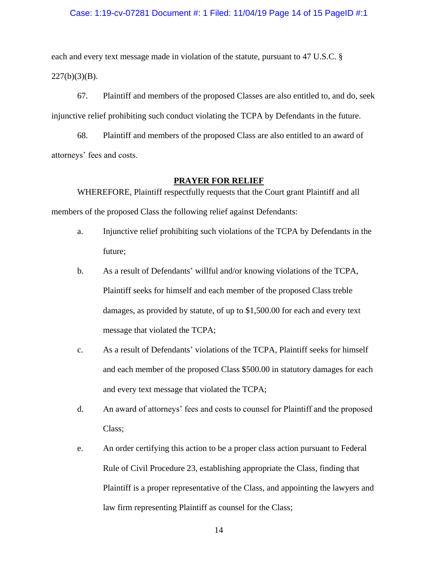### Case: 1:19-cv-07281 Document #: 1 Filed: 11/04/19 Page 14 of 15 PageID #:1

each and every text message made in violation of the statute, pursuant to 47 U.S.C. §  $227(b)(3)(B)$ .

67. Plaintiff and members of the proposed Classes are also entitled to, and do, seek injunctive relief prohibiting such conduct violating the TCPA by Defendants in the future.

68. Plaintiff and members of the proposed Class are also entitled to an award of attorneys' fees and costs.

### **PRAYER FOR RELIEF**

WHEREFORE, Plaintiff respectfully requests that the Court grant Plaintiff and all members of the proposed Class the following relief against Defendants:

- a. Injunctive relief prohibiting such violations of the TCPA by Defendants in the future;
- b. As a result of Defendants' willful and/or knowing violations of the TCPA, Plaintiff seeks for himself and each member of the proposed Class treble damages, as provided by statute, of up to \$1,500.00 for each and every text message that violated the TCPA;
- c. As a result of Defendants' violations of the TCPA, Plaintiff seeks for himself and each member of the proposed Class \$500.00 in statutory damages for each and every text message that violated the TCPA;
- d. An award of attorneys' fees and costs to counsel for Plaintiff and the proposed Class;
- e. An order certifying this action to be a proper class action pursuant to Federal Rule of Civil Procedure 23, establishing appropriate the Class, finding that Plaintiff is a proper representative of the Class, and appointing the lawyers and law firm representing Plaintiff as counsel for the Class;